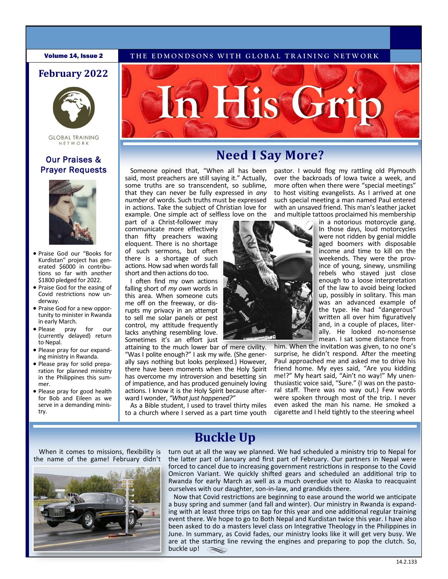#### **Volume 14, Issue 2** THE EDMONDSONS WITH GLOBAL TRAINING NETWORK

### **February 2022**



#### **GLOBAL TRAINING** NETWORK

# Prayer Requests



- Praise God our "Books for Kurdistan" project has generated \$6000 in contributions so far with another \$1800 pledged for 2022.
- Praise God for the easing of Covid restrictions now underway.
- Praise God for a new opportunity to minister in Rwanda in early March.
- Please pray for our (currently delayed) return to Nepal.
- Please pray for our expanding ministry in Rwanda.
- Please pray for solid preparation for planned ministry in the Philippines this summer.
- Please pray for good health for Bob and Eileen as we serve in a demanding ministry.



# **Our Praises & Need I Say More?**

Someone opined that, "When all has been said, most preachers are still saying it." Actually, some truths are so transcendent, so sublime, that they can never be fully expressed in *any number* of words. Such truths must be expressed in actions. Take the subject of Christian love for example. One simple act of selfless love on the

part of a Christ-follower may communicate more effectively than fifty preachers waxing eloquent. There is no shortage of such sermons, but often there is a shortage of such actions. How sad when words fall short and then actions do too.

I often find my own actions falling short of *my own* words in this area. When someone cuts me off on the freeway, or disrupts my privacy in an attempt to sell me solar panels or pest control, my attitude frequently lacks anything resembling love. Sometimes it's an effort just

attaining to the much lower bar of mere civility. "Was I polite enough?" I ask my wife. (She generally says nothing but looks perplexed.) However, there have been moments when the Holy Spirit has overcome my introversion and besetting sin of impatience, and has produced genuinely loving actions. I know it is the Holy Spirit because afterward I wonder, *"What just happened?"* 

As a Bible student, I used to travel thirty miles to a church where I served as a part time youth pastor. I would flog my rattling old Plymouth over the backroads of Iowa twice a week, and more often when there were "special meetings" to host visiting evangelists. As I arrived at one such special meeting a man named Paul entered with an unsaved friend. This man's leather jacket and multiple tattoos proclaimed his membership



in a notorious motorcycle gang. In those days, loud motorcycles were not ridden by genial middle aged boomers with disposable income and time to kill on the weekends. They were the province of young, sinewy, unsmiling rebels who stayed just close enough to a loose interpretation of the law to avoid being locked up, possibly in solitary. This man was an advanced example of the type. He had "dangerous" written all over him figuratively and, in a couple of places, literally. He looked no-nonsense mean. I sat some distance from

him. When the invitation was given, to no one's surprise, he didn't respond. After the meeting Paul approached me and asked me to drive his friend home. My eyes said, "Are you kidding me!?" My heart said, "Ain't no way!" My unenthusiastic voice said, "Sure." (I was on the pastoral staff. There was no way out.) Few words were spoken through most of the trip. I never even asked the man his name. He smoked a cigarette and I held tightly to the steering wheel

When it comes to missions, flexibility is the name of the game! February didn't



# **Buckle Up**

turn out at all the way we planned. We had scheduled a ministry trip to Nepal for the latter part of January and first part of February. Our partners in Nepal were forced to cancel due to increasing government restrictions in response to the Covid Omicron Variant. We quickly shifted gears and scheduled an additional trip to Rwanda for early March as well as a much overdue visit to Alaska to reacquaint ourselves with our daughter, son-in-law, and grandkids there.

Now that Covid restrictions are beginning to ease around the world we anticipate a busy spring and summer (and fall and winter). Our ministry in Rwanda is expanding with at least three trips on tap for this year and one additional regular training event there. We hope to go to Both Nepal and Kurdistan twice this year. I have also been asked to do a masters level class on Integrative Theology in the Philippines in June. In summary, as Covid fades, our ministry looks like it will get very busy. We are at the starting line revving the engines and preparing to pop the clutch. So, buckle up!  $\infty$